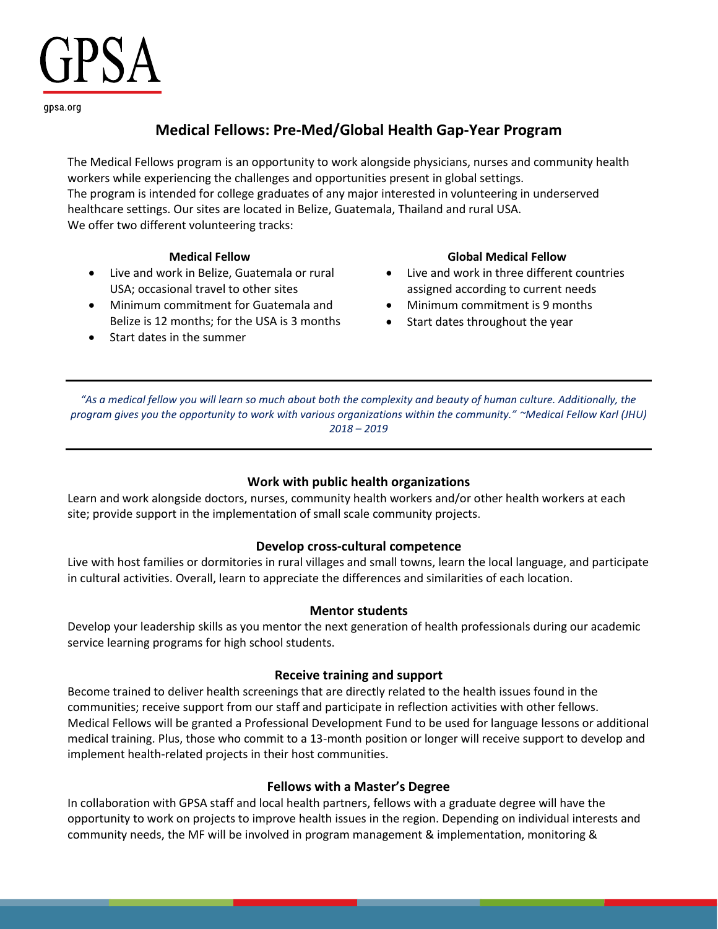# PSA

gpsa.org

### **Medical Fellows: Pre-Med/Global Health Gap-Year Program**

The Medical Fellows program is an opportunity to work alongside physicians, nurses and community health workers while experiencing the challenges and opportunities present in global settings. The program is intended for college graduates of any major interested in volunteering in underserved healthcare settings. Our sites are located in Belize, Guatemala, Thailand and rural USA. We offer two different volunteering tracks:

- Live and work in Belize, Guatemala or rural USA; occasional travel to other sites
- Minimum commitment for Guatemala and Belize is 12 months; for the USA is 3 months
- Start dates in the summer

#### **Medical Fellow Global Medical Fellow**

- Live and work in three different countries assigned according to current needs
- Minimum commitment is 9 months
- Start dates throughout the year

*"As a medical fellow you will learn so much about both the complexity and beauty of human culture. Additionally, the program gives you the opportunity to work with various organizations within the community." ~Medical Fellow Karl (JHU) 2018 – 2019*

### **Work with public health organizations**

Learn and work alongside doctors, nurses, community health workers and/or other health workers at each site; provide support in the implementation of small scale community projects.

#### **Develop cross-cultural competence**

Live with host families or dormitories in rural villages and small towns, learn the local language, and participate in cultural activities. Overall, learn to appreciate the differences and similarities of each location.

#### **Mentor students**

Develop your leadership skills as you mentor the next generation of health professionals during our academic service learning programs for high school students.

#### **Receive training and support**

Become trained to deliver health screenings that are directly related to the health issues found in the communities; receive support from our staff and participate in reflection activities with other fellows. Medical Fellows will be granted a Professional Development Fund to be used for language lessons or additional medical training. Plus, those who commit to a 13-month position or longer will receive support to develop and implement health-related projects in their host communities.

### **Fellows with a Master's Degree**

In collaboration with GPSA staff and local health partners, fellows with a graduate degree will have the opportunity to work on projects to improve health issues in the region. Depending on individual interests and community needs, the MF will be involved in program management & implementation, monitoring &